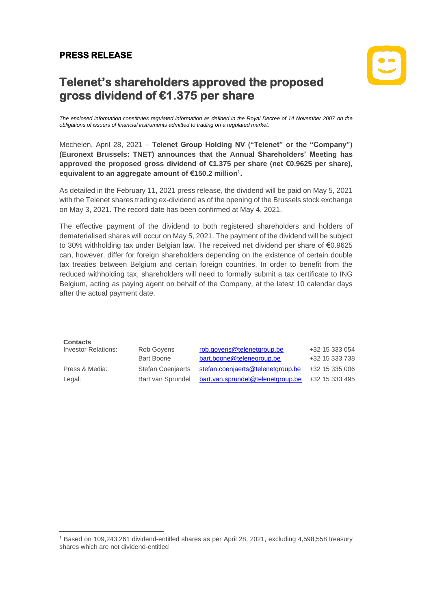## **PRESS RELEASE**

**Contacts**



## **Telenet's shareholders approved the proposed gross dividend of €1.375 per share**

*The enclosed information constitutes regulated information as defined in the Royal Decree of 14 November 2007 on the obligations of issuers of financial instruments admitted to trading on a regulated market.*

Mechelen, April 28, 2021 – **Telenet Group Holding NV ("Telenet" or the "Company") (Euronext Brussels: TNET) announces that the Annual Shareholders' Meeting has approved the proposed gross dividend of €1.375 per share (net €0.9625 per share), equivalent to an aggregate amount of €150.2 million<sup>1</sup> .** 

As detailed in the February 11, 2021 press release, the dividend will be paid on May 5, 2021 with the Telenet shares trading ex-dividend as of the opening of the Brussels stock exchange on May 3, 2021. The record date has been confirmed at May 4, 2021.

The effective payment of the dividend to both registered shareholders and holders of dematerialised shares will occur on May 5, 2021. The payment of the dividend will be subject to 30% withholding tax under Belgian law. The received net dividend per share of €0.9625 can, however, differ for foreign shareholders depending on the existence of certain double tax treaties between Belgium and certain foreign countries. In order to benefit from the reduced withholding tax, shareholders will need to formally submit a tax certificate to ING Belgium, acting as paying agent on behalf of the Company, at the latest 10 calendar days after the actual payment date.

| Contacts                   |                          |                                                  |                |
|----------------------------|--------------------------|--------------------------------------------------|----------------|
| <b>Investor Relations:</b> | Rob Govens               | rob.govens@telenetgroup.be                       | +32 15 333 054 |
|                            | <b>Bart Boone</b>        | bart.boone@telenegroup.be                        | +32 15 333 738 |
| Press & Media:             | <b>Stefan Coenjaerts</b> | stefan.coenjaerts@telenetgroup.be                | +32 15 335 006 |
| Legal:                     | Bart van Sprundel        | bart.van.sprundel@telenetgroup.be +32 15 333 495 |                |

<sup>1</sup> Based on 109,243,261 dividend-entitled shares as per April 28, 2021, excluding 4,598,558 treasury shares which are not dividend-entitled